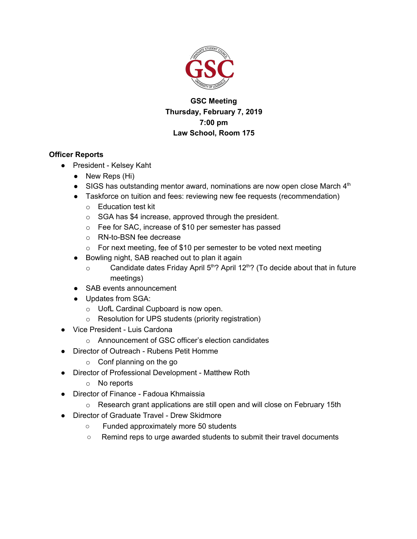

# **GSC Meeting Thursday, February 7, 2019 7:00 pm Law School, Room 175**

# **Officer Reports**

- President Kelsey Kaht
	- New Reps (Hi)
	- SIGS has outstanding mentor award, nominations are now open close March  $4<sup>th</sup>$
	- Taskforce on tuition and fees: reviewing new fee requests (recommendation)
		- o Education test kit
		- o SGA has \$4 increase, approved through the president.
		- o Fee for SAC, increase of \$10 per semester has passed
		- o RN-to-BSN fee decrease
		- $\circ$  For next meeting, fee of \$10 per semester to be voted next meeting
	- Bowling night, SAB reached out to plan it again
		- $\circ$  Candidate dates Friday April 5<sup>th</sup>? April 12<sup>th</sup>? (To decide about that in future meetings)
	- SAB events announcement
	- Updates from SGA:
		- o UofL Cardinal Cupboard is now open.
		- o Resolution for UPS students (priority registration)
- Vice President Luis Cardona
	- o Announcement of GSC officer's election candidates
- Director of Outreach Rubens Petit Homme
	- $\circ$  Conf planning on the go
- Director of Professional Development Matthew Roth
	- o No reports
- Director of Finance Fadoua Khmaissia
	- $\circ$  Research grant applications are still open and will close on February 15th
- Director of Graduate Travel Drew Skidmore
	- Funded approximately more 50 students
	- Remind reps to urge awarded students to submit their travel documents